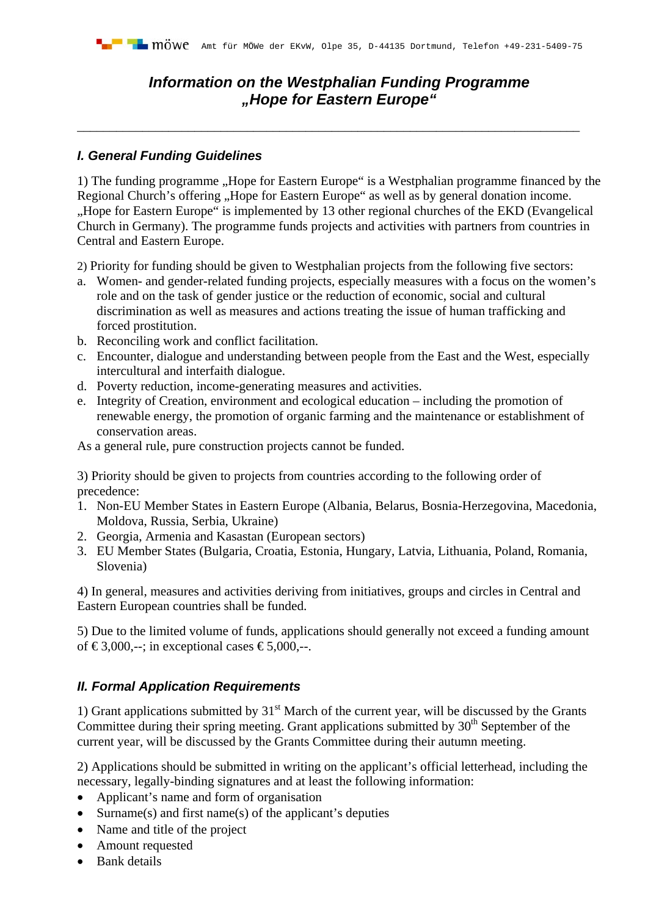## *Information on the Westphalian Funding Programme "Hope for Eastern Europe"*

\_\_\_\_\_\_\_\_\_\_\_\_\_\_\_\_\_\_\_\_\_\_\_\_\_\_\_\_\_\_\_\_\_\_\_\_\_\_\_\_\_\_\_\_\_\_\_\_\_\_\_\_\_\_\_\_\_\_\_\_\_\_\_\_\_\_\_\_\_\_\_\_\_\_\_\_\_

## *I. General Funding Guidelines*

1) The funding programme "Hope for Eastern Europe" is a Westphalian programme financed by the Regional Church's offering "Hope for Eastern Europe" as well as by general donation income. "Hope for Eastern Europe" is implemented by 13 other regional churches of the EKD (Evangelical Church in Germany). The programme funds projects and activities with partners from countries in Central and Eastern Europe.

2) Priority for funding should be given to Westphalian projects from the following five sectors:

- a. Women- and gender-related funding projects, especially measures with a focus on the women's role and on the task of gender justice or the reduction of economic, social and cultural discrimination as well as measures and actions treating the issue of human trafficking and forced prostitution.
- b. Reconciling work and conflict facilitation.
- c. Encounter, dialogue and understanding between people from the East and the West, especially intercultural and interfaith dialogue.
- d. Poverty reduction, income-generating measures and activities.
- e. Integrity of Creation, environment and ecological education including the promotion of renewable energy, the promotion of organic farming and the maintenance or establishment of conservation areas.

As a general rule, pure construction projects cannot be funded.

3) Priority should be given to projects from countries according to the following order of precedence:

- 1. Non-EU Member States in Eastern Europe (Albania, Belarus, Bosnia-Herzegovina, Macedonia, Moldova, Russia, Serbia, Ukraine)
- 2. Georgia, Armenia and Kasastan (European sectors)
- 3. EU Member States (Bulgaria, Croatia, Estonia, Hungary, Latvia, Lithuania, Poland, Romania, Slovenia)

4) In general, measures and activities deriving from initiatives, groups and circles in Central and Eastern European countries shall be funded.

5) Due to the limited volume of funds, applications should generally not exceed a funding amount of  $\text{\textsterling}3,000,$ --; in exceptional cases  $\text{\textsterling}5,000,$ --.

## *II. Formal Application Requirements*

1) Grant applications submitted by  $31<sup>st</sup>$  March of the current year, will be discussed by the Grants Committee during their spring meeting. Grant applications submitted by 30<sup>th</sup> September of the current year, will be discussed by the Grants Committee during their autumn meeting.

2) Applications should be submitted in writing on the applicant's official letterhead, including the necessary, legally-binding signatures and at least the following information:

- Applicant's name and form of organisation
- Surname(s) and first name(s) of the applicant's deputies
- Name and title of the project
- Amount requested
- Bank details